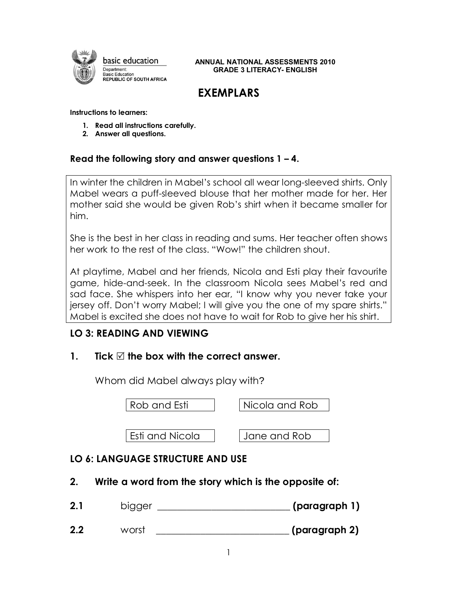

 **ANNUAL NATIONAL ASSESSMENTS <sup>2010</sup> GRADE 3 LITERACY- ENGLISH**

# **EXEMPLARS**

#### **Instructions to learners:**

- **1. Read all instructions carefully.**
- **2. Answer all questions.**

#### **Read the following story and answer questions 1 – 4.**

In winter the children in Mabel's school all wear long-sleeved shirts. Only Mabel wears a puff-sleeved blouse that her mother made for her. Her mother said she would be given Rob's shirt when it became smaller for him.

She is the best in her class in reading and sums. Her teacher often shows her work to the rest of the class. "Wow!" the children shout.

At playtime, Mabel and her friends, Nicola and Esti play their favourite game, hide-and-seek. In the classroom Nicola sees Mabel's red and sad face. She whispers into her ear, "I know why you never take your jersey off. Don't worry Mabel; I will give you the one of my spare shirts." Mabel is excited she does not have to wait for Rob to give her his shirt.

# **LO 3: READING AND VIEWING**

# **1. Tick**  $\heartsuit$  the box with the correct answer.

Whom did Mabel always play with?

| Rob and Esti    | Nicola and Rob |
|-----------------|----------------|
|                 |                |
| Esti and Nicola | Jane and Rob   |

# **LO 6: LANGUAGE STRUCTURE AND USE**

**2. Write a word from the story which is the opposite of:**

| <b>CO</b> 1<br>Z. | bigger | (paragraph 1) |
|-------------------|--------|---------------|
|                   |        |               |

**2.2** worst **\_\_\_\_\_\_\_\_\_\_\_\_\_\_\_\_\_\_\_\_\_\_\_\_\_\_\_ (paragraph 2)**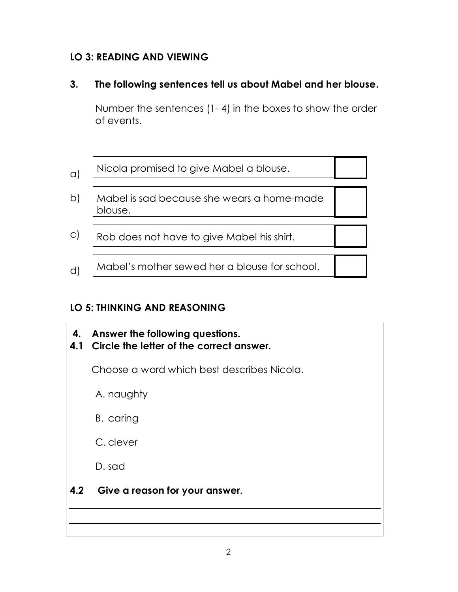# **LO 3: READING AND VIEWING**

# **3. The following sentences tell us about Mabel and her blouse.**

Number the sentences (1- 4) in the boxes to show the order of events.

| $\alpha$ )   | Nicola promised to give Mabel a blouse.               |  |  |
|--------------|-------------------------------------------------------|--|--|
| $\mathsf{b}$ | Mabel is sad because she wears a home-made<br>blouse. |  |  |
| $\circ$ )    | Rob does not have to give Mabel his shirt.            |  |  |
| ď            | Mabel's mother sewed her a blouse for school.         |  |  |

# **LO 5: THINKING AND REASONING**

- **4. Answer the following questions.**
- **4.1 Circle the letter of the correct answer.**

Choose a word which best describes Nicola.

A. naughty

B. caring

C. clever

D. sad

# **4.2 Give a reason for your answer.**